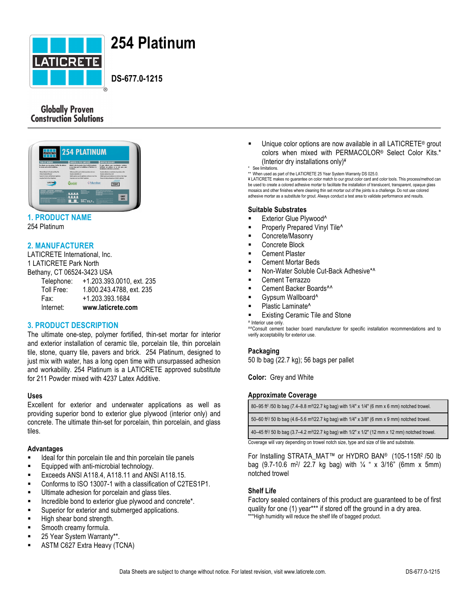

# **254 Platinum**

## **DS-677.0-1215**

### **Globally Proven Construction Solutions**



# **1. PRODUCT NAME**

254 Platinum

#### **2. MANUFACTURER**

LATICRETE International, Inc. 1 LATICRETE Park North Bethany, CT 06524-3423 USA Telephone: +1.203.393.0010, ext. 235 Toll Free: 1.800.243.4788, ext. 235 Fax: +1.203.393.1684 Internet: **www.laticrete.com**

#### **3. PRODUCT DESCRIPTION**

The ultimate one-step, polymer fortified, thin-set mortar for interior and exterior installation of ceramic tile, porcelain tile, thin porcelain tile, stone, quarry tile, pavers and brick. 254 Platinum, designed to just mix with water, has a long open time with unsurpassed adhesion and workability. 254 Platinum is a LATICRETE approved substitute for 211 Powder mixed with 4237 Latex Additive.

#### **Uses**

Excellent for exterior and underwater applications as well as providing superior bond to exterior glue plywood (interior only) and concrete. The ultimate thin-set for porcelain, thin porcelain, and glass tiles.

#### **Advantages**

- Ideal for thin porcelain tile and thin porcelain tile panels
- **Equipped with anti-microbial technology.**
- § Exceeds ANSI A118.4, A118.11 and ANSI A118.15.
- § Conforms to ISO 13007-1 with a classification of C2TES1P1.
- Ultimate adhesion for porcelain and glass tiles.
- Incredible bond to exterior glue plywood and concrete\*.
- Superior for exterior and submerged applications.
- **E** High shear bond strength.
- § Smooth creamy formula.
- 25 Year System Warranty\*\*
- **ASTM C627 Extra Heavy (TCNA)**
- Unique color options are now available in all LATICRETE<sup>®</sup> grout colors when mixed with PERMACOLOR® Select Color Kits.\* (Interior dry installations only)¥
- See limitations.

\*\* When used as part of the LATICRETE 25 Year System Warranty DS 025.0.

¥ LATICRETE makes no guarantee on color match to our grout color card and color tools. This process/method can be used to create a colored adhesive mortar to facilitate the installation of translucent, transparent, opaque glass mosaics and other finishes where cleaning thin set mortar out of the joints is a challenge. Do not use colored adhesive mortar as a substitute for grout. Always conduct a test area to validate performance and results.

#### **Suitable Substrates**

- Exterior Glue Plywood<sup>^</sup>
- Properly Prepared Vinyl Tile<sup>^</sup>
- § Concrete/Masonry
- § Concrete Block
- § Cement Plaster
- § Cement Mortar Beds
- § Non-Water Soluble Cut-Back Adhesive\*^
- § Cement Terrazzo
- § Cement Backer Boards^^
- § Gypsum Wallboard^
- Plastic Laminate<sup>^</sup>
- Existing Ceramic Tile and Stone
- ^ Interior use only.

^^Consult cement backer board manufacturer for specific installation recommendations and to verify acceptability for exterior use.

#### **Packaging**

50 lb bag (22.7 kg); 56 bags per pallet

**Color:** Grey and White

#### **Approximate Coverage**

| 80–95 ft <sup>2</sup> /50 lb bag (7.4–8.8 m <sup>2</sup> /22.7 kg bag) with 1/4" x 1/4" (6 mm x 6 mm) notched trowel.    |
|--------------------------------------------------------------------------------------------------------------------------|
| 50–60 ft <sup>2</sup> / 50 lb bag (4.6–5.6 m <sup>2</sup> /22.7 kg bag) with 1/4" x 3/8" (6 mm x 9 mm) notched trowel.   |
| 40-45 ft <sup>2</sup> / 50 lb bag (3.7-4.2 m <sup>2</sup> /22.7 kg bag) with 1/2" x 1/2" (12 mm x 12 mm) notched trowel. |
| <br>.                                                                                                                    |

Coverage will vary depending on trowel notch size, type and size of tile and substrate.

For Installing STRATA\_MAT™ or HYDRO BAN® (105-115ft<sup>2</sup> /50 lb bag  $(9.7-10.6 \text{ m}^2/ 22.7 \text{ kg}$  bag) with  $\frac{1}{4}$  " x 3/16" (6mm x 5mm) notched trowel

#### **Shelf Life**

Factory sealed containers of this product are guaranteed to be of first quality for one (1) year\*\*\* if stored off the ground in a dry area. \*\*\*High humidity will reduce the shelf life of bagged product.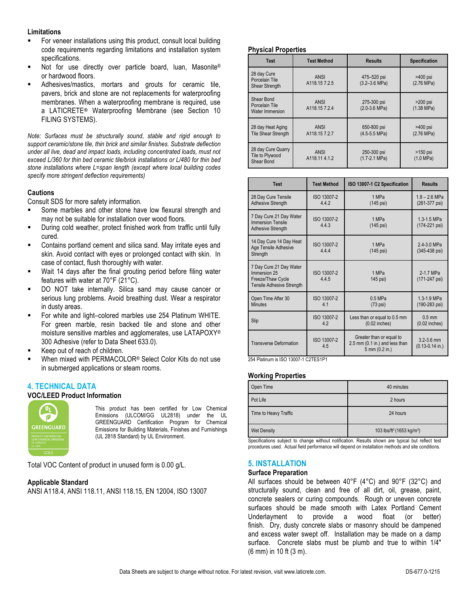#### **Limitations**

- § For veneer installations using this product, consult local building code requirements regarding limitations and installation system specifications.
- Not for use directly over particle board, luan, Masonite® or hardwood floors.
- Adhesives/mastics, mortars and grouts for ceramic tile, pavers, brick and stone are not replacements for waterproofing membranes. When a waterproofing membrane is required, use a LATICRETE**®** Waterproofing Membrane (see Section 10 FILING SYSTEMS).

*Note: Surfaces must be structurally sound, stable and rigid enough to support ceramic/stone tile, thin brick and similar finishes. Substrate deflection under all live, dead and impact loads, including concentrated loads, must not exceed L/360 for thin bed ceramic tile/brick installations or L/480 for thin bed stone installations where L=span length (except where local building codes specify more stringent deflection requirements)*

#### **Cautions**

Consult SDS for more safety information.

- Some marbles and other stone have low flexural strength and may not be suitable for installation over wood floors.
- § During cold weather, protect finished work from traffic until fully cured.
- § Contains portland cement and silica sand. May irritate eyes and skin. Avoid contact with eyes or prolonged contact with skin. In case of contact, flush thoroughly with water.
- Wait 14 days after the final grouting period before filing water features with water at 70°F (21°C).
- DO NOT take internally. Silica sand may cause cancer or serious lung problems. Avoid breathing dust. Wear a respirator in dusty areas.
- For white and light–colored marbles use 254 Platinum WHITE. For green marble, resin backed tile and stone and other moisture sensitive marbles and agglomerates, use LATAPOXY® 300 Adhesive (refer to Data Sheet 633.0).
- Keep out of reach of children.
- When mixed with PERMACOLOR<sup>®</sup> Select Color Kits do not use in submerged applications or steam rooms.

#### **4. TECHNICAL DATA**

#### **VOC/LEED Product Information**



This product has been certified for Low Chemical Emissions (ULCOM/GG UL2818) under the UL GREENGUARD Certification Program for Chemical Emissions for Building Materials, Finishes and Furnishings (UL 2818 Standard) by UL Environment.

Total VOC Content of product in unused form is 0.00 g/L.

#### **Applicable Standard**

ANSI A118.4, ANSI 118.11, ANSI 118.15, EN 12004, ISO 13007

#### **Physical Properties**

| <b>Test</b>                                         | <b>Test Method</b>          | <b>Results</b>                           | <b>Specification</b>               |
|-----------------------------------------------------|-----------------------------|------------------------------------------|------------------------------------|
| 28 day Cure<br>Porcelain Tile<br>Shear Strength     | <b>ANSI</b><br>A118.157.2.5 | 475-520 psi<br>$(3.2 - 3.6 \text{ MPa})$ | $>400$ psi<br>$(2.76 \text{ MPa})$ |
| Shear Bond<br>Porcelain Tile<br>Water Immersion     | <b>ANSI</b><br>A118.157.2.4 | 275-300 psi<br>$(2.0-3.6 MPa)$           | $>200$ psi<br>$(1.38 \text{ MPa})$ |
| 28 day Heat Aging<br><b>Tile Shear Strength</b>     | <b>ANSI</b><br>A118.157.2.7 | 650-800 psi<br>$(4.5-5.5 MPa)$           | >400 psi<br>$(2.76 \text{ MPa})$   |
| 28 day Cure Quarry<br>Tile to Plywood<br>Shear Bond | ANSI<br>A118.114.1.2        | 250-300 psi<br>$(1.7 - 2.1 \text{ MPa})$ | $>150$ psi<br>$(1.0 \text{ MPa})$  |

| <b>Test</b>                                                                               | <b>Test Method</b>   | ISO 13007-1 C2 Specification                                                 | <b>Results</b>                         |
|-------------------------------------------------------------------------------------------|----------------------|------------------------------------------------------------------------------|----------------------------------------|
| 28 Day Cure Tensile<br><b>Adhesive Strength</b>                                           | ISO 13007-2<br>4.4.2 | 1 MPa<br>(145 psi)                                                           | $1.8 - 2.6$ MPa<br>(261-377 psi)       |
| 7 Day Cure 21 Day Water<br><b>Immersion Tensile</b><br><b>Adhesive Strength</b>           | ISO 13007-2<br>443   | 1 MPa<br>(145 psi)                                                           | 1.3-1.5 MPa<br>(174-221 psi)           |
| 14 Day Cure 14 Day Heat<br>Age Tensile Adhesive<br>Strength                               | ISO 13007-2<br>4.4.4 | 1 MPa<br>(145 psi)                                                           | 2.4-3.0 MPa<br>(345-438 psi)           |
| 7 Day Cure 21 Day Water<br>Immersion 25<br>Freeze/Thaw Cycle<br>Tensile Adhesive Strength | ISO 13007-2<br>445   | 1 MPa<br>145 psi)                                                            | 2-1.7 MPa<br>(171-247 psi)             |
| Open Time After 30<br><b>Minutes</b>                                                      | ISO 13007-2<br>41    | $0.5$ MPa<br>$(73 \text{ psi})$                                              | 1.3-1.9 MPa<br>(190-283 psi)           |
| Slip                                                                                      | ISO 13007-2<br>4.2   | Less than or equal to 0.5 mm<br>$(0.02$ inches)                              | $0.5$ mm<br>$(0.02$ inches)            |
| <b>Transverse Deformation</b>                                                             | ISO 13007-2<br>4.5   | Greater than or equal to<br>2.5 mm (0.1 in.) and less than<br>5 mm (0.2 in.) | $3.2 - 3.6$ mm<br>$(0.13 - 0.14)$ in.) |

254 Platinum is ISO 13007-1 C2TES1P1

#### **Working Properties**

| Open Time             | 40 minutes                                        |
|-----------------------|---------------------------------------------------|
| Pot Life              | 2 hours                                           |
| Time to Heavy Traffic | 24 hours                                          |
| <b>Wet Density</b>    | 103 lbs/ft <sup>3</sup> (1653 kg/m <sup>3</sup> ) |

Specifications subject to change without notification. Results shown are typical but reflect test procedures used. Actual field performance will depend on installation methods and site conditions.

#### **5. INSTALLATION**

#### **Surface Preparation**

All surfaces should be between 40°F (4°C) and 90°F (32°C) and structurally sound, clean and free of all dirt, oil, grease, paint, concrete sealers or curing compounds. Rough or uneven concrete surfaces should be made smooth with Latex Portland Cement Underlayment to provide a wood float (or better) finish. Dry, dusty concrete slabs or masonry should be dampened and excess water swept off. Installation may be made on a damp surface. Concrete slabs must be plumb and true to within 1/4" (6 mm) in 10 ft (3 m).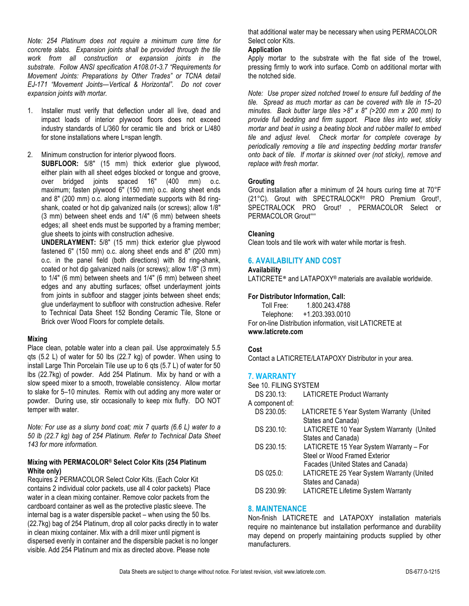*Note: 254 Platinum does not require a minimum cure time for concrete slabs. Expansion joints shall be provided through the tile work from all construction or expansion joints in the substrate. Follow ANSI specification A108.01-3.7 "Requirements for Movement Joints: Preparations by Other Trades" or TCNA detail EJ-171 "Movement Joints—Vertical & Horizontal". Do not cover expansion joints with mortar.*

- 1. Installer must verify that deflection under all live, dead and impact loads of interior plywood floors does not exceed industry standards of L/360 for ceramic tile and brick or L/480 for stone installations where L=span length.
- 2. Minimum construction for interior plywood floors. **SUBFLOOR:** 5/8" (15 mm) thick exterior glue plywood, either plain with all sheet edges blocked or tongue and groove, over bridged joints spaced 16" (400 mm) o.c. maximum; fasten plywood 6" (150 mm) o.c. along sheet ends and 8" (200 mm) o.c. along intermediate supports with 8d ringshank, coated or hot dip galvanized nails (or screws); allow 1/8" (3 mm) between sheet ends and 1/4" (6 mm) between sheets edges; all sheet ends must be supported by a framing member; glue sheets to joints with construction adhesive.

**UNDERLAYMENT:** 5/8" (15 mm) thick exterior glue plywood fastened 6" (150 mm) o.c. along sheet ends and 8" (200 mm) o.c. in the panel field (both directions) with 8d ring-shank, coated or hot dip galvanized nails (or screws); allow 1/8" (3 mm) to 1/4" (6 mm) between sheets and 1/4" (6 mm) between sheet edges and any abutting surfaces; offset underlayment joints from joints in subfloor and stagger joints between sheet ends; glue underlayment to subfloor with construction adhesive. Refer to Technical Data Sheet 152 Bonding Ceramic Tile, Stone or Brick over Wood Floors for complete details.

#### **Mixing**

Place clean, potable water into a clean pail. Use approximately 5.5 qts (5.2 L) of water for 50 lbs (22.7 kg) of powder. When using to install Large Thin Porcelain Tile use up to 6 qts (5.7 L) of water for 50 lbs (22.7kg) of powder. Add 254 Platinum. Mix by hand or with a slow speed mixer to a smooth, trowelable consistency. Allow mortar to slake for 5–10 minutes. Remix with out adding any more water or powder. During use, stir occasionally to keep mix fluffy. DO NOT temper with water.

*Note: For use as a slurry bond coat; mix 7 quarts (6.6 L) water to a 50 lb (22.7 kg) bag of 254 Platinum. Refer to Technical Data Sheet 143 for more information.*

#### **Mixing with PERMACOLOR® Select Color Kits (254 Platinum White only)**

Requires 2 PERMACOLOR Select Color Kits. (Each Color Kit contains 2 individual color packets, use all 4 color packets) Place water in a clean mixing container. Remove color packets from the cardboard container as well as the protective plastic sleeve. The internal bag is a water dispersible packet – when using the 50 lbs. (22.7kg) bag of 254 Platinum, drop all color packs directly in to water in clean mixing container. Mix with a drill mixer until pigment is dispersed evenly in container and the dispersible packet is no longer visible. Add 254 Platinum and mix as directed above. Please note

that additional water may be necessary when using PERMACOLOR Select color Kits.

#### **Application**

Apply mortar to the substrate with the flat side of the trowel, pressing firmly to work into surface. Comb on additional mortar with the notched side.

*Note: Use proper sized notched trowel to ensure full bedding of the tile. Spread as much mortar as can be covered with tile in 15–20 minutes. Back butter large tiles >8" x 8" (>200 mm x 200 mm) to provide full bedding and firm support. Place tiles into wet, sticky mortar and beat in using a beating block and rubber mallet to embed tile and adjust level. Check mortar for complete coverage by periodically removing a tile and inspecting bedding mortar transfer onto back of tile. If mortar is skinned over (not sticky), remove and replace with fresh mortar.*

#### **Grouting**

Grout installation after a minimum of 24 hours curing time at 70°F (21°C). Grout with SPECTRALOCK®† PRO Premium Grout†, SPECTRALOCK PRO Grout<sup>†</sup>, PERMACOLOR Select or PERMACOLOR Grout^^^

#### **Cleaning**

Clean tools and tile work with water while mortar is fresh.

#### **6. AVAILABILITY AND COST**

#### **Availability**

LATICRETE® and LATAPOXY® materials are available worldwide.

#### **For Distributor Information, Call:**

Toll Free: 1.800.243.4788

Telephone: +1.203.393.0010

For on-line Distribution information, visit LATICRETE at **www.laticrete.com**

#### **Cost**

Contact a LATICRETE/LATAPOXY Distributor in your area.

#### **7. WARRANTY**

See 10. FILING SYSTEM

| DS 230.13:      | <b>LATICRETE Product Warranty</b>         |
|-----------------|-------------------------------------------|
| A component of: |                                           |
| DS 230.05:      | LATICRETE 5 Year System Warranty (United  |
|                 | States and Canada)                        |
| DS 230.10:      | LATICRETE 10 Year System Warranty (United |
|                 | States and Canada)                        |
| DS 230.15:      | LATICRETE 15 Year System Warranty - For   |
|                 | Steel or Wood Framed Exterior             |
|                 | Facades (United States and Canada)        |
| DS 025.0:       | LATICRETE 25 Year System Warranty (United |
|                 | States and Canada)                        |
| DS 230.99:      | <b>LATICRETE Lifetime System Warranty</b> |
|                 |                                           |

#### **8. MAINTENANCE**

Non-finish LATICRETE and LATAPOXY installation materials require no maintenance but installation performance and durability may depend on properly maintaining products supplied by other manufacturers.